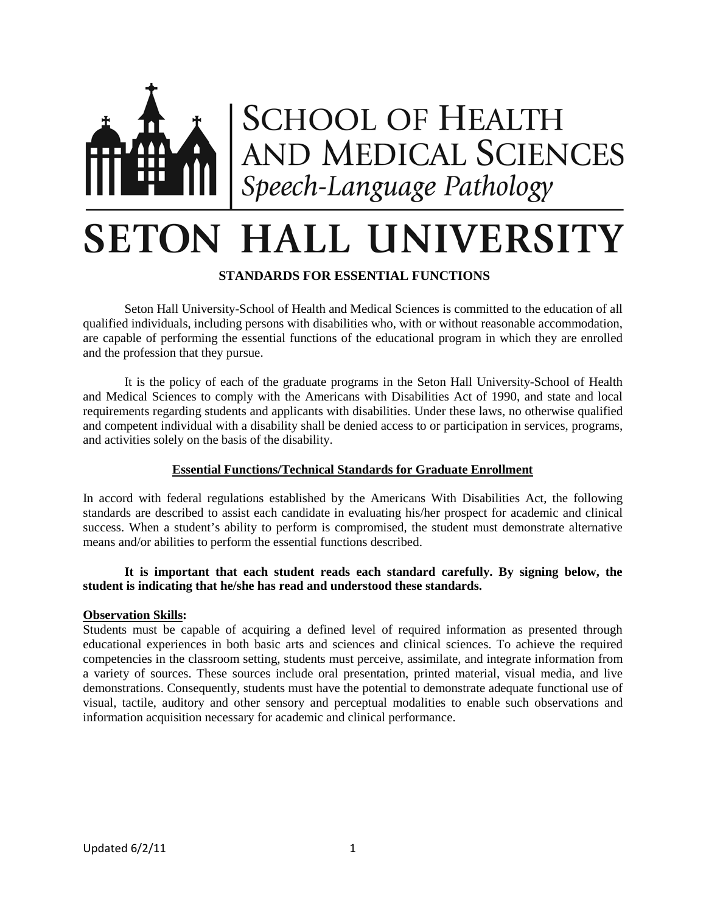

# **SETON HALL UNIVERSITY**

# **STANDARDS FOR ESSENTIAL FUNCTIONS**

Seton Hall University-School of Health and Medical Sciences is committed to the education of all qualified individuals, including persons with disabilities who, with or without reasonable accommodation, are capable of performing the essential functions of the educational program in which they are enrolled and the profession that they pursue.

It is the policy of each of the graduate programs in the Seton Hall University-School of Health and Medical Sciences to comply with the Americans with Disabilities Act of 1990, and state and local requirements regarding students and applicants with disabilities. Under these laws, no otherwise qualified and competent individual with a disability shall be denied access to or participation in services, programs, and activities solely on the basis of the disability.

# **Essential Functions/Technical Standards for Graduate Enrollment**

In accord with federal regulations established by the Americans With Disabilities Act, the following standards are described to assist each candidate in evaluating his/her prospect for academic and clinical success. When a student's ability to perform is compromised, the student must demonstrate alternative means and/or abilities to perform the essential functions described.

# **It is important that each student reads each standard carefully. By signing below, the student is indicating that he/she has read and understood these standards.**

# **Observation Skills:**

Students must be capable of acquiring a defined level of required information as presented through educational experiences in both basic arts and sciences and clinical sciences. To achieve the required competencies in the classroom setting, students must perceive, assimilate, and integrate information from a variety of sources. These sources include oral presentation, printed material, visual media, and live demonstrations. Consequently, students must have the potential to demonstrate adequate functional use of visual, tactile, auditory and other sensory and perceptual modalities to enable such observations and information acquisition necessary for academic and clinical performance.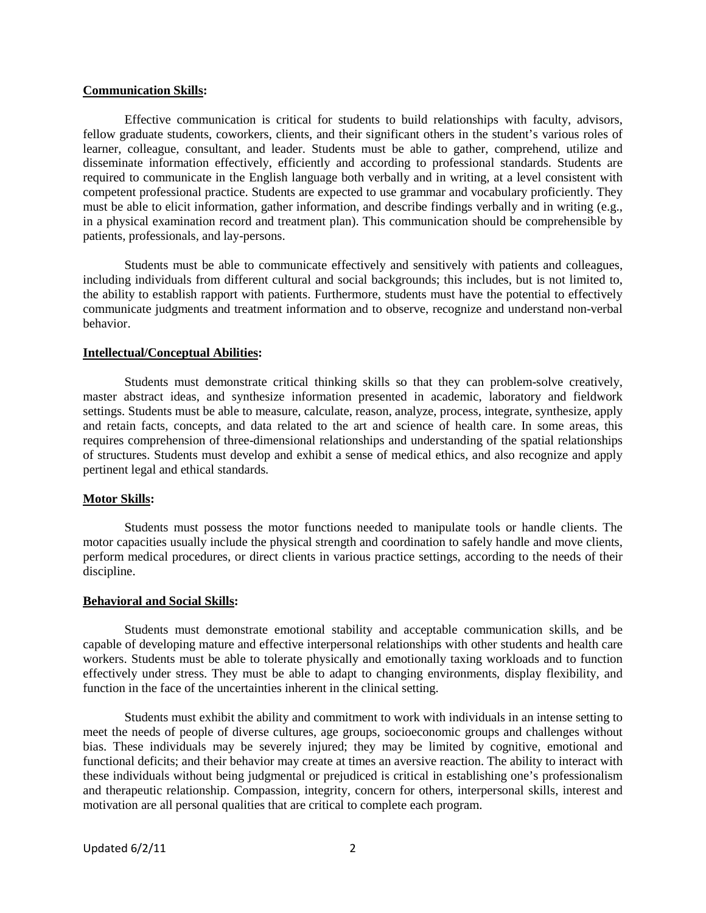#### **Communication Skills:**

Effective communication is critical for students to build relationships with faculty, advisors, fellow graduate students, coworkers, clients, and their significant others in the student's various roles of learner, colleague, consultant, and leader. Students must be able to gather, comprehend, utilize and disseminate information effectively, efficiently and according to professional standards. Students are required to communicate in the English language both verbally and in writing, at a level consistent with competent professional practice. Students are expected to use grammar and vocabulary proficiently. They must be able to elicit information, gather information, and describe findings verbally and in writing (e.g., in a physical examination record and treatment plan). This communication should be comprehensible by patients, professionals, and lay-persons.

Students must be able to communicate effectively and sensitively with patients and colleagues, including individuals from different cultural and social backgrounds; this includes, but is not limited to, the ability to establish rapport with patients. Furthermore, students must have the potential to effectively communicate judgments and treatment information and to observe, recognize and understand non-verbal behavior.

#### **Intellectual/Conceptual Abilities:**

Students must demonstrate critical thinking skills so that they can problem-solve creatively, master abstract ideas, and synthesize information presented in academic, laboratory and fieldwork settings. Students must be able to measure, calculate, reason, analyze, process, integrate, synthesize, apply and retain facts, concepts, and data related to the art and science of health care. In some areas, this requires comprehension of three-dimensional relationships and understanding of the spatial relationships of structures. Students must develop and exhibit a sense of medical ethics, and also recognize and apply pertinent legal and ethical standards.

#### **Motor Skills:**

Students must possess the motor functions needed to manipulate tools or handle clients. The motor capacities usually include the physical strength and coordination to safely handle and move clients, perform medical procedures, or direct clients in various practice settings, according to the needs of their discipline.

#### **Behavioral and Social Skills:**

Students must demonstrate emotional stability and acceptable communication skills, and be capable of developing mature and effective interpersonal relationships with other students and health care workers. Students must be able to tolerate physically and emotionally taxing workloads and to function effectively under stress. They must be able to adapt to changing environments, display flexibility, and function in the face of the uncertainties inherent in the clinical setting.

Students must exhibit the ability and commitment to work with individuals in an intense setting to meet the needs of people of diverse cultures, age groups, socioeconomic groups and challenges without bias. These individuals may be severely injured; they may be limited by cognitive, emotional and functional deficits; and their behavior may create at times an aversive reaction. The ability to interact with these individuals without being judgmental or prejudiced is critical in establishing one's professionalism and therapeutic relationship. Compassion, integrity, concern for others, interpersonal skills, interest and motivation are all personal qualities that are critical to complete each program.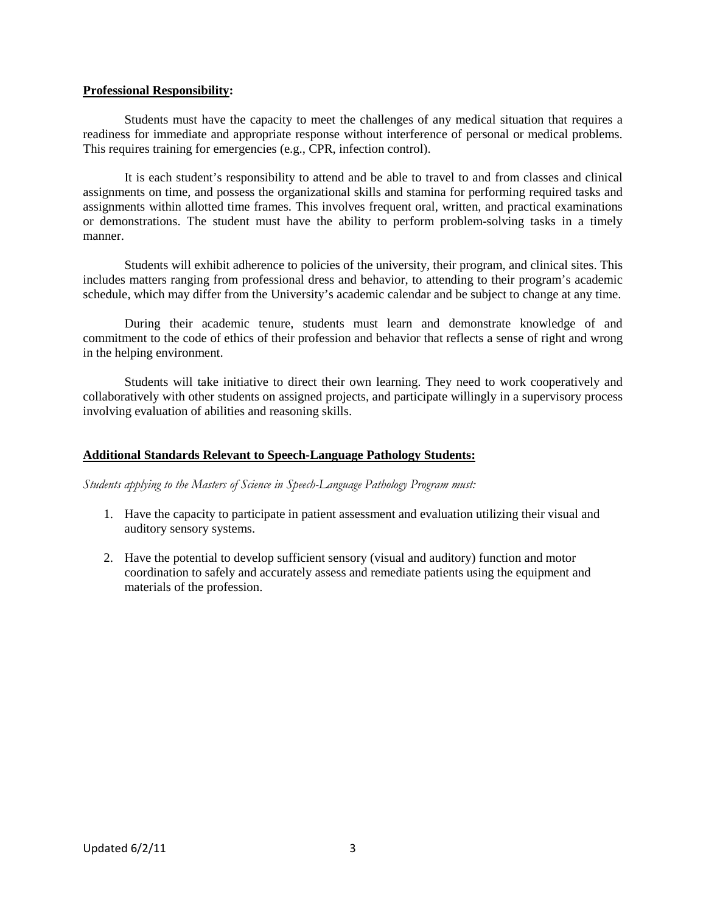### **Professional Responsibility:**

Students must have the capacity to meet the challenges of any medical situation that requires a readiness for immediate and appropriate response without interference of personal or medical problems. This requires training for emergencies (e.g., CPR, infection control).

It is each student's responsibility to attend and be able to travel to and from classes and clinical assignments on time, and possess the organizational skills and stamina for performing required tasks and assignments within allotted time frames. This involves frequent oral, written, and practical examinations or demonstrations. The student must have the ability to perform problem-solving tasks in a timely manner.

Students will exhibit adherence to policies of the university, their program, and clinical sites. This includes matters ranging from professional dress and behavior, to attending to their program's academic schedule, which may differ from the University's academic calendar and be subject to change at any time.

During their academic tenure, students must learn and demonstrate knowledge of and commitment to the code of ethics of their profession and behavior that reflects a sense of right and wrong in the helping environment.

Students will take initiative to direct their own learning. They need to work cooperatively and collaboratively with other students on assigned projects, and participate willingly in a supervisory process involving evaluation of abilities and reasoning skills.

# **Additional Standards Relevant to Speech-Language Pathology Students:**

*Students applying to the Masters of Science in Speech-Language Pathology Program must:* 

- 1. Have the capacity to participate in patient assessment and evaluation utilizing their visual and auditory sensory systems.
- 2. Have the potential to develop sufficient sensory (visual and auditory) function and motor coordination to safely and accurately assess and remediate patients using the equipment and materials of the profession.